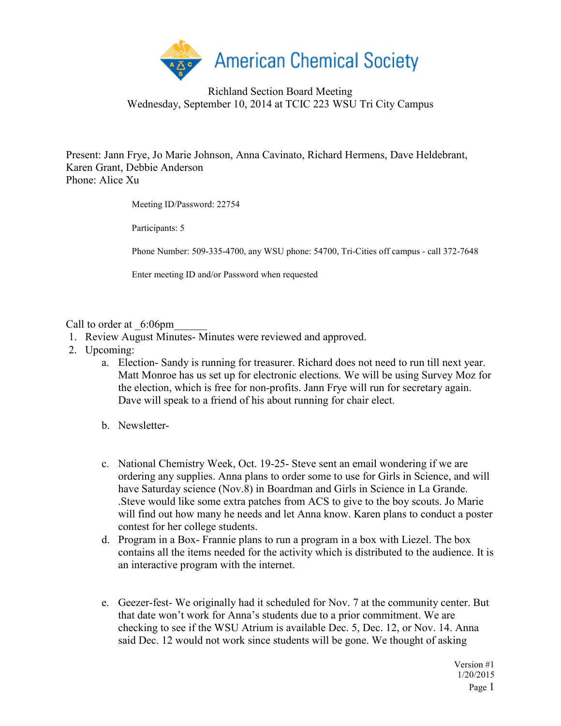

## Richland Section Board Meeting Wednesday, September 10, 2014 at TCIC 223 WSU Tri City Campus

Present: Jann Frye, Jo Marie Johnson, Anna Cavinato, Richard Hermens, Dave Heldebrant, Karen Grant, Debbie Anderson Phone: Alice Xu

Meeting ID/Password: 22754

Participants: 5

Phone Number: 509-335-4700, any WSU phone: 54700, Tri-Cities off campus - call 372-7648

Enter meeting ID and/or Password when requested

Call to order at  $6:06$ pm

- 1. Review August Minutes- Minutes were reviewed and approved.
- 2. Upcoming:
	- a. Election- Sandy is running for treasurer. Richard does not need to run till next year. Matt Monroe has us set up for electronic elections. We will be using Survey Moz for the election, which is free for non-profits. Jann Frye will run for secretary again. Dave will speak to a friend of his about running for chair elect.
	- b. Newsletter-
	- c. National Chemistry Week, Oct. 19-25- Steve sent an email wondering if we are ordering any supplies. Anna plans to order some to use for Girls in Science, and will have Saturday science (Nov.8) in Boardman and Girls in Science in La Grande. .Steve would like some extra patches from ACS to give to the boy scouts. Jo Marie will find out how many he needs and let Anna know. Karen plans to conduct a poster contest for her college students.
	- d. Program in a Box- Frannie plans to run a program in a box with Liezel. The box contains all the items needed for the activity which is distributed to the audience. It is an interactive program with the internet.
	- e. Geezer-fest- We originally had it scheduled for Nov. 7 at the community center. But that date won't work for Anna's students due to a prior commitment. We are checking to see if the WSU Atrium is available Dec. 5, Dec. 12, or Nov. 14. Anna said Dec. 12 would not work since students will be gone. We thought of asking